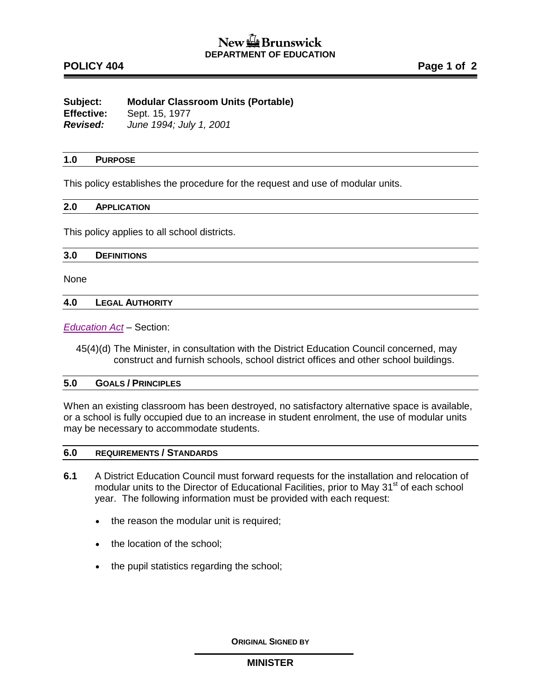# **POLICY 404 Page 1 of 2**

**Subject: Modular Classroom Units (Portable) Effective:** Sept. 15, 1977 *Revised: June 1994; July 1, 2001*

#### **1.0 PURPOSE**

This policy establishes the procedure for the request and use of modular units.

#### **2.0 APPLICATION**

This policy applies to all school districts.

#### **3.0 DEFINITIONS**

None

#### **4.0 LEGAL AUTHORITY**

*[Education Act](http://laws.gnb.ca/en/ShowPdf/cs/E-1.12.pdf)* – Section:

45(4)(d) The Minister, in consultation with the District Education Council concerned, may construct and furnish schools, school district offices and other school buildings.

#### **5.0 GOALS / PRINCIPLES**

When an existing classroom has been destroyed, no satisfactory alternative space is available, or a school is fully occupied due to an increase in student enrolment, the use of modular units may be necessary to accommodate students.

## **6.0 REQUIREMENTS / STANDARDS**

- **6.1** A District Education Council must forward requests for the installation and relocation of modular units to the Director of Educational Facilities, prior to May 31<sup>st</sup> of each school year. The following information must be provided with each request:
	- the reason the modular unit is required;
	- the location of the school;
	- the pupil statistics regarding the school;

**ORIGINAL SIGNED BY**